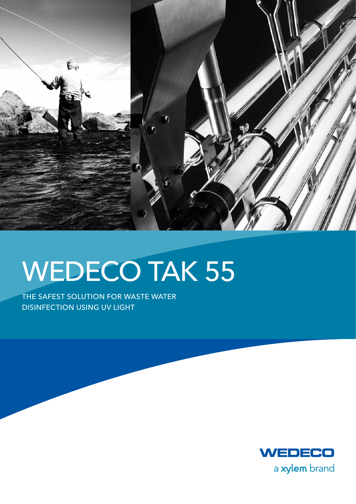

# WEDECO TAK 55

The safest solution for waste water disinfection using UV light

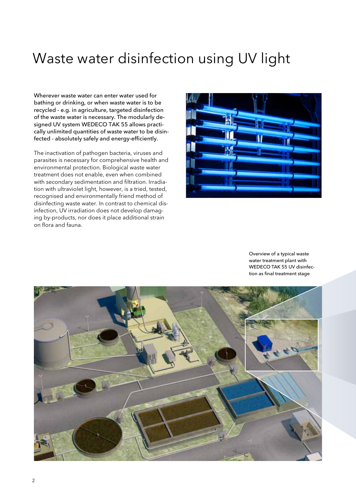# Waste water disinfection using UV light

Wherever waste water can enter water used for bathing or drinking, or when waste water is to be recycled - e.g. in agriculture, targeted disinfection of the waste water is necessary. The modularly designed UV system WEDECO TAK 55 allows practically unlimited quantities of waste water to be disinfected - absolutely safely and energy-efficiently.

The inactivation of pathogen bacteria, viruses and parasites is necessary for comprehensive health and environmental protection. Biological waste water treatment does not enable, even when combined with secondary sedimentation and filtration. Irradiation with ultraviolet light, however, is a tried, tested, recognised and environmentally friend method of disinfecting waste water. In contrast to chemical disinfection, UV irradiation does not develop damaging by-products, nor does it place additional strain on flora and fauna.



Overview of a typical waste water treatment plant with WEDECO TAK 55 UV disinfection as final treatment stage

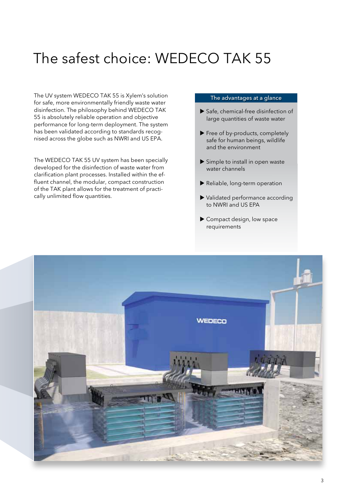# The safest choice: WEDECO TAK 55

The UV system WEDECO TAK 55 is Xylem's solution for safe, more environmentally friendly waste water disinfection. The philosophy behind WEDECO TAK 55 is absolutely reliable operation and objective performance for long-term deployment. The system has been validated according to standards recognised across the globe such as NWRI and US EPA.

The WEDECO TAK 55 UV system has been specially developed for the disinfection of waste water from clarification plant processes. Installed within the effluent channel, the modular, compact construction of the TAK plant allows for the treatment of practically unlimited flow quantities.

#### The advantages at a glance

- ▶ Safe, chemical-free disinfection of large quantities of waste water
- Free of by-products, completely safe for human beings, wildlife and the environment
- Simple to install in open waste water channels
- Reliable, long-term operation
- Validated performance according to NWRI and US EPA
- ▶ Compact design, low space requirements

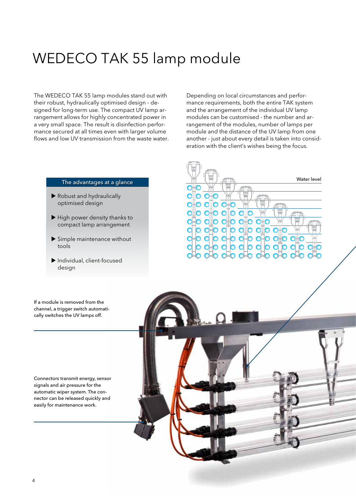# WEDECO TAK 55 lamp module

The WEDECO TAK 55 lamp modules stand out with their robust, hydraulically optimised design - designed for long-term use. The compact UV lamp arrangement allows for highly concentrated power in a very small space. The result is disinfection performance secured at all times even with larger volume flows and low UV transmission from the waste water. Depending on local circumstances and performance requirements, both the entire TAK system and the arrangement of the individual UV lamp modules can be customised - the number and arrangement of the modules, number of lamps per module and the distance of the UV lamp from one another - just about every detail is taken into consideration with the client's wishes being the focus.

#### The advantages at a glance

- Robust and hydraulically optimised design
- High power density thanks to compact lamp arrangement
- Simple maintenance without tools
- Individual, client-focused design

Water levelo al O

If a module is removed from the channel, a trigger switch automatically switches the UV lamps off.

Connectors transmit energy, sensor signals and air pressure for the automatic wiper system. The connector can be released quickly and easily for maintenance work.

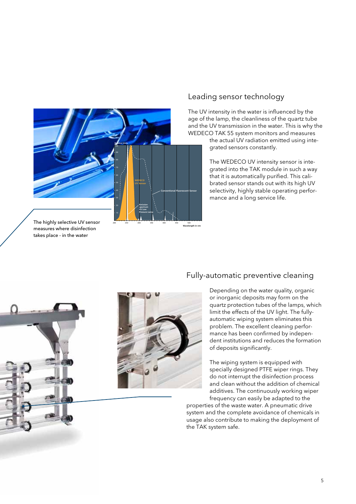

### Leading sensor technology

The UV intensity in the water is influenced by the age of the lamp, the cleanliness of the quartz tube and the UV transmission in the water. This is why the WEDECO TAK 55 system monitors and measures

> the actual UV radiation emitted using integrated sensors constantly.

> The WEDECO UV intensity sensor is integrated into the TAK module in such a way that it is automatically purified. This calibrated sensor stands out with its high UV selectivity, highly stable operating performance and a long service life.

The highly selective UV sensor measures where disinfection takes place - in the water





200 250 300 350 400 450 500

**Wavelength in nm**

### Fully-automatic preventive cleaning

Depending on the water quality, organic or inorganic deposits may form on the quartz protection tubes of the lamps, which limit the effects of the UV light. The fullyautomatic wiping system eliminates this problem. The excellent cleaning performance has been confirmed by independent institutions and reduces the formation of deposits significantly.

The wiping system is equipped with specially designed PTFE wiper rings. They do not interrupt the disinfection process and clean without the addition of chemical additives. The continuously working wiper frequency can easily be adapted to the

properties of the waste water. A pneumatic drive system and the complete avoidance of chemicals in usage also contribute to making the deployment of the TAK system safe.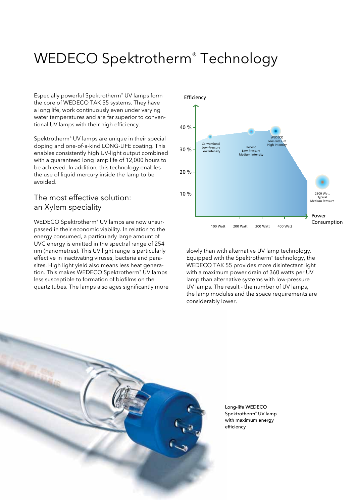# WEDECO Spektrotherm® Technology

Especially powerful Spektrotherm® UV lamps form the core of WEDECO TAK 55 systems. They have a long life, work continuously even under varying water temperatures and are far superior to conventional UV lamps with their high efficiency.

Spektrotherm® UV lamps are unique in their special doping and one-of-a-kind LONG-LIFE coating. This enables consistently high UV-light output combined with a guaranteed long lamp life of 12,000 hours to be achieved. In addition, this technology enables the use of liquid mercury inside the lamp to be avoided.

### The most effective solution: an Xylem speciality

WEDECO Spektrotherm® UV lamps are now unsurpassed in their economic viability. In relation to the energy consumed, a particularly large amount of UVC energy is emitted in the spectral range of 254 nm (nanometres). This UV light range is particularly effective in inactivating viruses, bacteria and parasites. High light yield also means less heat generation. This makes WEDECO Spektrotherm® UV lamps less susceptible to formation of biofilms on the quartz tubes. The lamps also ages significantly more



slowly than with alternative UV lamp technology. Equipped with the Spektrotherm® technology, the WEDECO TAK 55 provides more disinfectant light with a maximum power drain of 360 watts per UV lamp than alternative systems with low-pressure UV lamps. The result - the number of UV lamps, the lamp modules and the space requirements are considerably lower.



Long-life WEDECO Spektrotherm® UV lamp with maximum energy efficiency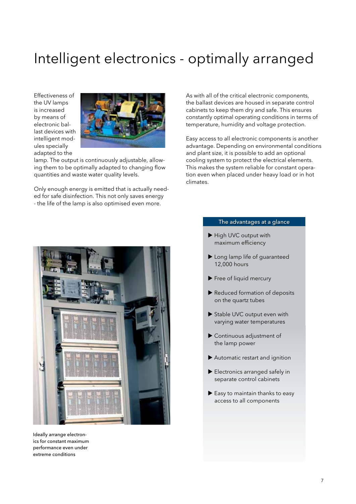# Intelligent electronics - optimally arranged

Effectiveness of the UV lamps is increased by means of electronic ballast devices with intelligent modules specially adapted to the



lamp. The output is continuously adjustable, allowing them to be optimally adapted to changing flow quantities and waste water quality levels.

Only enough energy is emitted that is actually needed for safe disinfection. This not only saves energy - the life of the lamp is also optimised even more.

As with all of the critical electronic components, the ballast devices are housed in separate control cabinets to keep them dry and safe. This ensures constantly optimal operating conditions in terms of temperature, humidity and voltage protection.

Easy access to all electronic components is another advantage. Depending on environmental conditions and plant size, it is possible to add an optional cooling system to protect the electrical elements. This makes the system reliable for constant operation even when placed under heavy load or in hot climates.



Ideally arrange electronics for constant maximum performance even under extreme conditions

#### The advantages at a glance

- High UVC output with maximum efficiency
- Long lamp life of guaranteed 12,000 hours
- Free of liquid mercury
- Reduced formation of deposits on the quartz tubes
- Stable UVC output even with varying water temperatures
- Continuous adjustment of the lamp power
- Automatic restart and ignition
- Electronics arranged safely in separate control cabinets
- Easy to maintain thanks to easy access to all components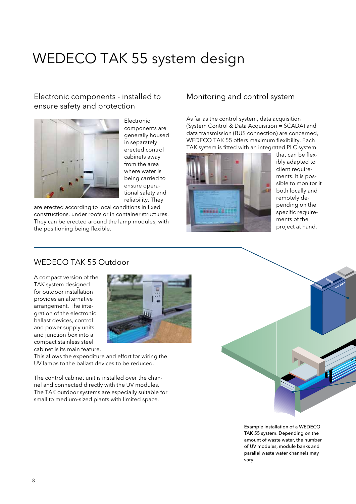# WEDECO TAK 55 system design

### Electronic components - installed to ensure safety and protection



Electronic components are generally housed in separately erected control cabinets away from the area where water is being carried to ensure operational safety and reliability. They

are erected according to local conditions in fixed constructions, under roofs or in container structures. They can be erected around the lamp modules, with the positioning being flexible.

### Monitoring and control system

As far as the control system, data acquisition (System Control & Data Acquisition = SCADA) and data transmission (BUS connection) are concerned, WEDECO TAK 55 offers maximum flexibility. Each TAK system is fitted with an integrated PLC system



that can be flexibly adapted to client requirements. It is possible to monitor it both locally and remotely depending on the specific requirements of the project at hand.

### WEDECO TAK 55 Outdoor

A compact version of the TAK system designed for outdoor installation provides an alternative arrangement. The integration of the electronic ballast devices, control and power supply units and junction box into a compact stainless steel cabinet is its main feature.



This allows the expenditure and effort for wiring the UV lamps to the ballast devices to be reduced.

The control cabinet unit is installed over the channel and connected directly with the UV modules. The TAK outdoor systems are especially suitable for small to medium-sized plants with limited space.



Example installation of a WEDECO TAK 55 system. Depending on the amount of waste water, the number of UV modules, module banks and parallel waste water channels may vary.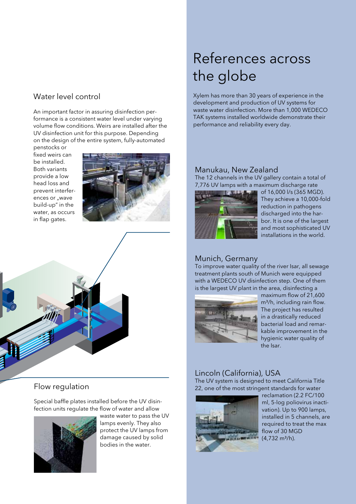### Water level control

An important factor in assuring disinfection performance is a consistent water level under varying volume flow conditions. Weirs are installed after the UV disinfection unit for this purpose. Depending on the design of the entire system, fully-automated

penstocks or fixed weirs can be installed. Both variants provide a low head loss and prevent interferences or "wave build-up" in the water, as occurs in flap gates.





### Flow regulation

Special baffle plates installed before the UV disinfection units regulate the flow of water and allow



waste water to pass the UV lamps evenly. They also protect the UV lamps from damage caused by solid bodies in the water.

# References across the globe

Xylem has more than 30 years of experience in the development and production of UV systems for waste water disinfection. More than 1,000 WEDECO TAK systems installed worldwide demonstrate their performance and reliability every day.

### Manukau, New Zealand

The 12 channels in the UV gallery contain a total of 7,776 UV lamps with a maximum discharge rate



of 16,000 l/s (365 MGD). They achieve a 10,000-fold reduction in pathogens discharged into the harbor. It is one of the largest and most sophisticated UV installations in the world.

### Munich, Germany

To improve water quality of the river Isar, all sewage treatment plants south of Munich were equipped with a WEDECO UV disinfection step. One of them is the largest UV plant in the area, disinfecting a



maximum flow of 21,600 m<sup>3</sup>/h, including rain flow. The project has resulted in a drastically reduced bacterial load and remarkable improvement in the hygienic water quality of the Isar.

### Lincoln (California), USA

The UV system is designed to meet California Title 22, one of the most stringent standards for water



reclamation (2.2 FC/100 ml, 5-log poliovirus inactivation). Up to 900 lamps, installed in 5 channels, are required to treat the max flow of 30 MGD  $(4.732 \text{ m}^3/h)$ .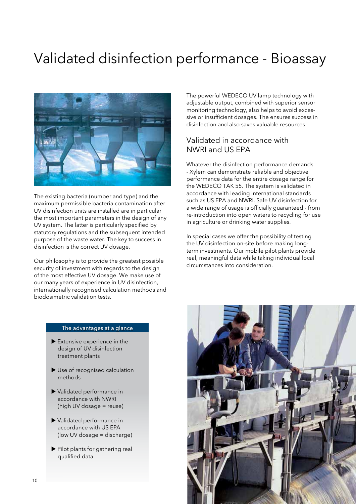# Validated disinfection performance - Bioassay



The existing bacteria (number and type) and the maximum permissible bacteria contamination after UV disinfection units are installed are in particular the most important parameters in the design of any UV system. The latter is particularly specified by statutory regulations and the subsequent intended purpose of the waste water. The key to success in disinfection is the correct UV dosage.

Our philosophy is to provide the greatest possible security of investment with regards to the design of the most effective UV dosage. We make use of our many years of experience in UV disinfection, internationally recognised calculation methods and biodosimetric validation tests.

The powerful WEDECO UV lamp technology with adjustable output, combined with superior sensor monitoring technology, also helps to avoid excessive or insufficient dosages. The ensures success in disinfection and also saves valuable resources.

### Validated in accordance with NWRI and US EPA

Whatever the disinfection performance demands - Xylem can demonstrate reliable and objective performance data for the entire dosage range for the WEDECO TAK 55. The system is validated in accordance with leading international standards such as US EPA and NWRI. Safe UV disinfection for a wide range of usage is officially guaranteed - from re-introduction into open waters to recycling for use in agriculture or drinking water supplies.

In special cases we offer the possibility of testing the UV disinfection on-site before making longterm investments. Our mobile pilot plants provide real, meaningful data while taking individual local circumstances into consideration.

#### The advantages at a glance

- Extensive experience in the design of UV disinfection treatment plants
- Use of recognised calculation methods
- Validated performance in accordance with NWRI (high UV dosage = reuse)
- Validated performance in accordance with US EPA (low UV dosage = discharge)
- Pilot plants for gathering real qualified data

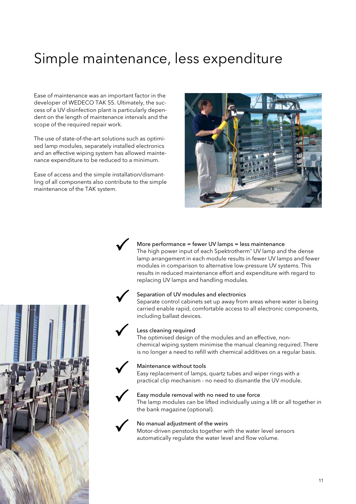# Simple maintenance, less expenditure

Ease of maintenance was an important factor in the developer of WEDECO TAK 55. Ultimately, the success of a UV disinfection plant is particularly dependent on the length of maintenance intervals and the scope of the required repair work.

The use of state-of-the-art solutions such as optimised lamp modules, separately installed electronics and an effective wiping system has allowed maintenance expenditure to be reduced to a minimum.

Ease of access and the simple installation/dismantling of all components also contribute to the simple maintenance of the TAK system.





#### More performance = fewer UV lamps = less maintenance

The high power input of each Spektrotherm® UV lamp and the dense lamp arrangement in each module results in fewer UV lamps and fewer modules in comparison to alternative low-pressure UV systems. This results in reduced maintenance effort and expenditure with regard to replacing UV lamps and handling modules.

#### Separation of UV modules and electronics

Separate control cabinets set up away from areas where water is being carried enable rapid, comfortable access to all electronic components, including ballast devices.

#### Less cleaning required

The optimised design of the modules and an effective, nonchemical wiping system minimise the manual cleaning required. There is no longer a need to refill with chemical additives on a regular basis.

#### Maintenance without tools

Easy replacement of lamps, quartz tubes and wiper rings with a practical clip mechanism - no need to dismantle the UV module.

#### Easy module removal with no need to use force

The lamp modules can be lifted individually using a lift or all together in the bank magazine (optional).

#### No manual adjustment of the weirs

Motor-driven penstocks together with the water level sensors automatically regulate the water level and flow volume.